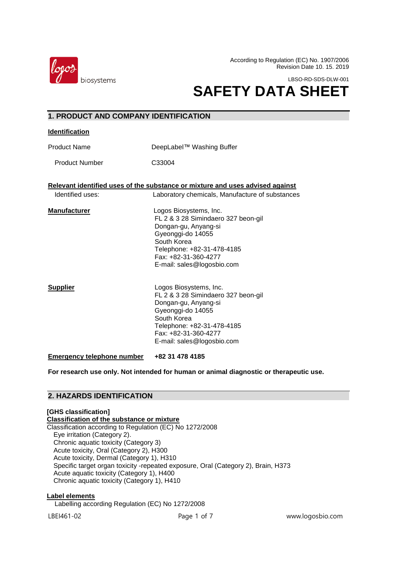

According to Regulation (EC) No. 1907/2006 Revision Date 10. 15. 2019

LBSO-RD-SDS-DLW-001

# **SAFETY DATA SHEET**

# **1. PRODUCT AND COMPANY IDENTIFICATION**

#### **Identification**

Product Name DeepLabel™ Washing Buffer

Product Number C33004

**Relevant identified uses of the substance or mixture and uses advised against**

Identified uses: Laboratory chemicals, Manufacture of substances

**Manufacturer Logos Biosystems, Inc.** FL 2 & 3 28 Simindaero 327 beon-gil Dongan-gu, Anyang-si Gyeonggi-do 14055 South Korea Telephone: +82-31-478-4185 Fax: +82-31-360-4277 E-mail: sales@logosbio.com

**Supplier** Logos Biosystems, Inc. FL 2 & 3 28 Simindaero 327 beon-gil Dongan-gu, Anyang-si Gyeonggi-do 14055 South Korea Telephone: +82-31-478-4185 Fax: +82-31-360-4277 E-mail: sales@logosbio.com

**Emergency telephone number +82 31 478 4185**

**For research use only. Not intended for human or animal diagnostic or therapeutic use.**

# **2. HAZARDS IDENTIFICATION**

# **[GHS classification]**

**Classification of the substance or mixture** Classification according to Regulation (EC) No 1272/2008 Eye irritation (Category 2). Chronic aquatic toxicity (Category 3) Acute toxicity, Oral (Category 2), H300 Acute toxicity, Dermal (Category 1), H310 Specific target organ toxicity -repeated exposure, Oral (Category 2), Brain, H373 Acute aquatic toxicity (Category 1), H400 Chronic aquatic toxicity (Category 1), H410

# **Label elements**

Labelling according Regulation (EC) No 1272/2008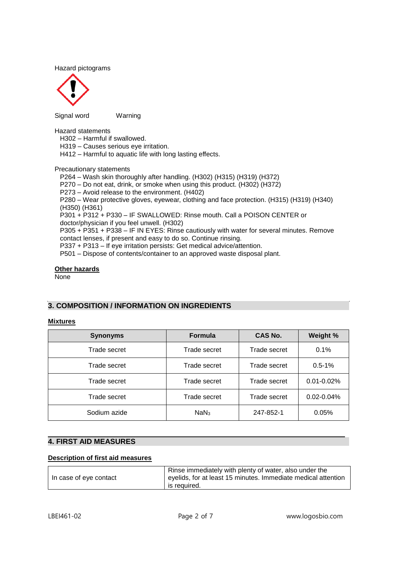Hazard pictograms



Signal wordWarning

Hazard statements

H302 – Harmful if swallowed.

H319 – Causes serious eye irritation.

H412 – Harmful to aquatic life with long lasting effects.

Precautionary statements

P264 – Wash skin thoroughly after handling. (H302) (H315) (H319) (H372)

P270 – Do not eat, drink, or smoke when using this product. (H302) (H372)

P273 – Avoid release to the environment. (H402)

P280 – Wear protective gloves, eyewear, clothing and face protection. (H315) (H319) (H340) (H350) (H361)

P301 + P312 + P330 – IF SWALLOWED: Rinse mouth. Call a POISON CENTER or doctor/physician if you feel unwell. (H302)

P305 + P351 + P338 – IF IN EYES: Rinse cautiously with water for several minutes. Remove contact lenses, if present and easy to do so. Continue rinsing.

P337 + P313 – If eye irritation persists: Get medical advice/attention.

P501 – Dispose of contents/container to an approved waste disposal plant.

# **Other hazards**

None

# **3. COMPOSITION / INFORMATION ON INGREDIENTS**

# **Mixtures**

| <b>Synonyms</b> | <b>Formula</b>   | CAS No.      | Weight %        |
|-----------------|------------------|--------------|-----------------|
| Trade secret    | Trade secret     | Trade secret | 0.1%            |
| Trade secret    | Trade secret     | Trade secret | $0.5 - 1%$      |
| Trade secret    | Trade secret     | Trade secret | $0.01 - 0.02\%$ |
| Trade secret    | Trade secret     | Trade secret | $0.02 - 0.04\%$ |
| Sodium azide    | NaN <sub>3</sub> | 247-852-1    | 0.05%           |

# **4. FIRST AID MEASURES**

# **Description of first aid measures**

|                        | Rinse immediately with plenty of water, also under the        |
|------------------------|---------------------------------------------------------------|
| In case of eye contact | eyelids, for at least 15 minutes. Immediate medical attention |
|                        | is reauired.                                                  |

 $\overline{a}$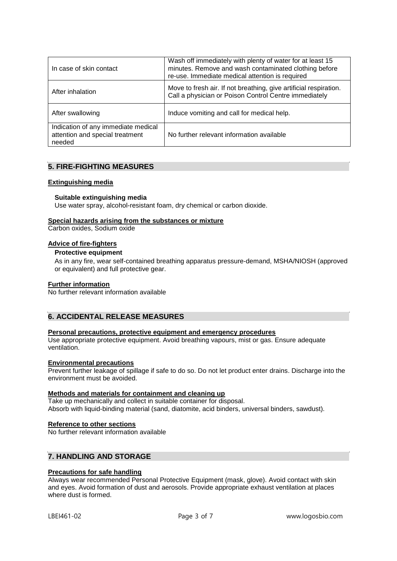| In case of skin contact                                                          | Wash off immediately with plenty of water for at least 15<br>minutes. Remove and wash contaminated clothing before<br>re-use. Immediate medical attention is required |
|----------------------------------------------------------------------------------|-----------------------------------------------------------------------------------------------------------------------------------------------------------------------|
| After inhalation                                                                 | Move to fresh air. If not breathing, give artificial respiration.<br>Call a physician or Poison Control Centre immediately                                            |
| After swallowing                                                                 | Induce vomiting and call for medical help.                                                                                                                            |
| Indication of any immediate medical<br>attention and special treatment<br>needed | No further relevant information available                                                                                                                             |

# **5. FIRE-FIGHTING MEASURES**

# **Extinguishing media**

# **Suitable extinguishing media**

Use water spray, alcohol-resistant foam, dry chemical or carbon dioxide.

# **Special hazards arising from the substances or mixture**

Carbon oxides, Sodium oxide

# **Advice of fire-fighters**

# **Protective equipment**

As in any fire, wear self-contained breathing apparatus pressure-demand, MSHA/NIOSH (approved or equivalent) and full protective gear.

# **Further information**

No further relevant information available

# **6. ACCIDENTAL RELEASE MEASURES**

# **Personal precautions, protective equipment and emergency procedures**

Use appropriate protective equipment. Avoid breathing vapours, mist or gas. Ensure adequate ventilation.

# **Environmental precautions**

Prevent further leakage of spillage if safe to do so. Do not let product enter drains. Discharge into the environment must be avoided.

# **Methods and materials for containment and cleaning up**

Take up mechanically and collect in suitable container for disposal. Absorb with liquid-binding material (sand, diatomite, acid binders, universal binders, sawdust).

# **Reference to other sections**

No further relevant information available

# **7. HANDLING AND STORAGE**

# **Precautions for safe handling**

Always wear recommended Personal Protective Equipment (mask, glove). Avoid contact with skin and eyes. Avoid formation of dust and aerosols. Provide appropriate exhaust ventilation at places where dust is formed.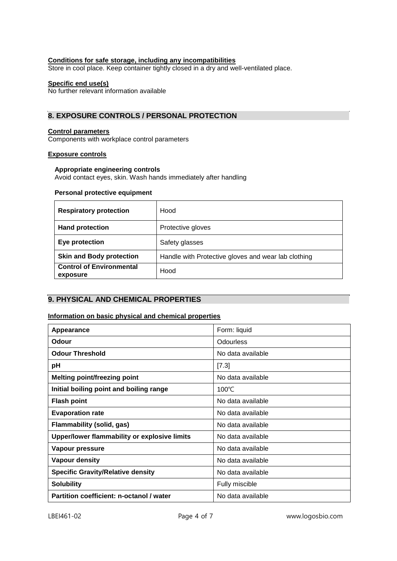# **Conditions for safe storage, including any incompatibilities**

Store in cool place. Keep container tightly closed in a dry and well-ventilated place.

# **Specific end use(s)**

No further relevant information available

# **8. EXPOSURE CONTROLS / PERSONAL PROTECTION**

# **Control parameters**

Components with workplace control parameters

# **Exposure controls**

#### **Appropriate engineering controls**

Avoid contact eyes, skin. Wash hands immediately after handling

#### **Personal protective equipment**

| <b>Respiratory protection</b>               | Hood                                                |
|---------------------------------------------|-----------------------------------------------------|
| <b>Hand protection</b>                      | Protective gloves                                   |
| Eye protection                              | Safety glasses                                      |
| <b>Skin and Body protection</b>             | Handle with Protective gloves and wear lab clothing |
| <b>Control of Environmental</b><br>exposure | Hood                                                |

# **9. PHYSICAL AND CHEMICAL PROPERTIES**

# **Information on basic physical and chemical properties**

| Appearance                                   | Form: liquid      |
|----------------------------------------------|-------------------|
| Odour                                        | <b>Odourless</b>  |
| <b>Odour Threshold</b>                       | No data available |
| рH                                           | [7.3]             |
| <b>Melting point/freezing point</b>          | No data available |
| Initial boiling point and boiling range      | $100^{\circ}$ C   |
| <b>Flash point</b>                           | No data available |
| <b>Evaporation rate</b>                      | No data available |
| Flammability (solid, gas)                    | No data available |
| Upper/lower flammability or explosive limits | No data available |
| Vapour pressure                              | No data available |
| <b>Vapour density</b>                        | No data available |
| <b>Specific Gravity/Relative density</b>     | No data available |
| <b>Solubility</b>                            | Fully miscible    |
| Partition coefficient: n-octanol / water     | No data available |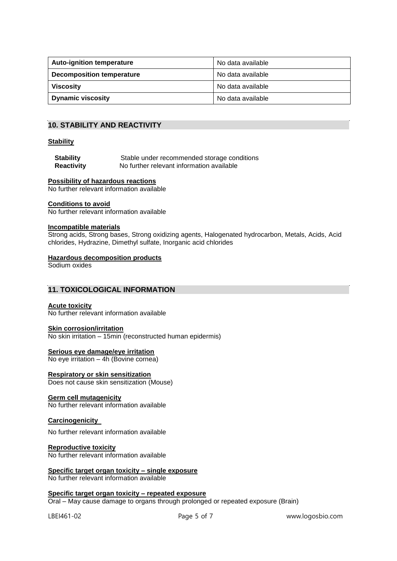| <b>Auto-ignition temperature</b> | No data available   |
|----------------------------------|---------------------|
| <b>Decomposition temperature</b> | No data available   |
| <b>Viscosity</b>                 | l No data available |
| <b>Dynamic viscosity</b>         | No data available   |

# **10. STABILITY AND REACTIVITY**

#### **Stability**

| <b>Stability</b>  | Stable under recommended storage conditions |
|-------------------|---------------------------------------------|
| <b>Reactivity</b> | No further relevant information available   |

# **Possibility of hazardous reactions**

No further relevant information available

#### **Conditions to avoid**

No further relevant information available

#### **Incompatible materials**

Strong acids, Strong bases, Strong oxidizing agents, Halogenated hydrocarbon, Metals, Acids, Acid chlorides, Hydrazine, Dimethyl sulfate, Inorganic acid chlorides

#### **Hazardous decomposition products**

Sodium oxides

# **11. TOXICOLOGICAL INFORMATION**

# **Acute toxicity**

No further relevant information available

#### **Skin corrosion/irritation**

No skin irritation – 15min (reconstructed human epidermis)

#### **Serious eye damage/eye irritation**

No eye irritation – 4h (Bovine cornea)

# **Respiratory or skin sensitization**

Does not cause skin sensitization (Mouse)

# **Germ cell mutagenicity**

No further relevant information available

#### **Carcinogenicity**

No further relevant information available

#### **Reproductive toxicity**

No further relevant information available

#### **Specific target organ toxicity – single exposure** No further relevant information available

#### **Specific target organ toxicity – repeated exposure**

Oral – May cause damage to organs through prolonged or repeated exposure (Brain)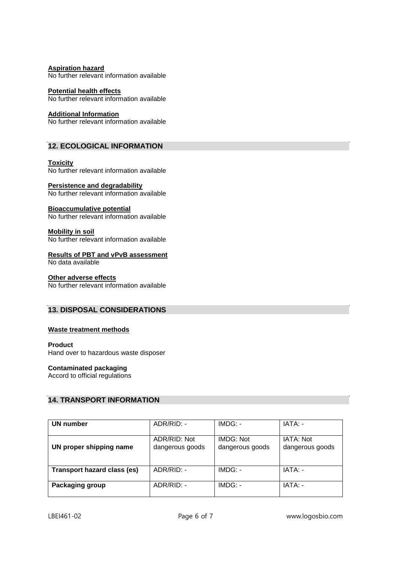**Aspiration hazard** No further relevant information available

**Potential health effects** No further relevant information available

**Additional Information**

No further relevant information available

# **12. ECOLOGICAL INFORMATION**

**Toxicity** No further relevant information available

# **Persistence and degradability**

No further relevant information available

# **Bioaccumulative potential**

No further relevant information available

**Mobility in soil** No further relevant information available

# **Results of PBT and vPvB assessment**

No data available

# **Other adverse effects**

No further relevant information available

# **13. DISPOSAL CONSIDERATIONS**

# **Waste treatment methods**

# **Product**

Hand over to hazardous waste disposer

# **Contaminated packaging**

Accord to official regulations

# **14. TRANSPORT INFORMATION**

| UN number                          | ADR/RID: -      | IMDG: -         | IATA: -         |
|------------------------------------|-----------------|-----------------|-----------------|
|                                    |                 |                 |                 |
|                                    | ADR/RID: Not    | IMDG: Not       | IATA: Not       |
| UN proper shipping name            | dangerous goods | dangerous goods | dangerous goods |
|                                    |                 |                 |                 |
| <b>Transport hazard class (es)</b> | $ADR/RID: -$    | IMDG: -         | IATA: -         |
| Packaging group                    | ADR/RID: -      | IMDG: -         | IATA: -         |